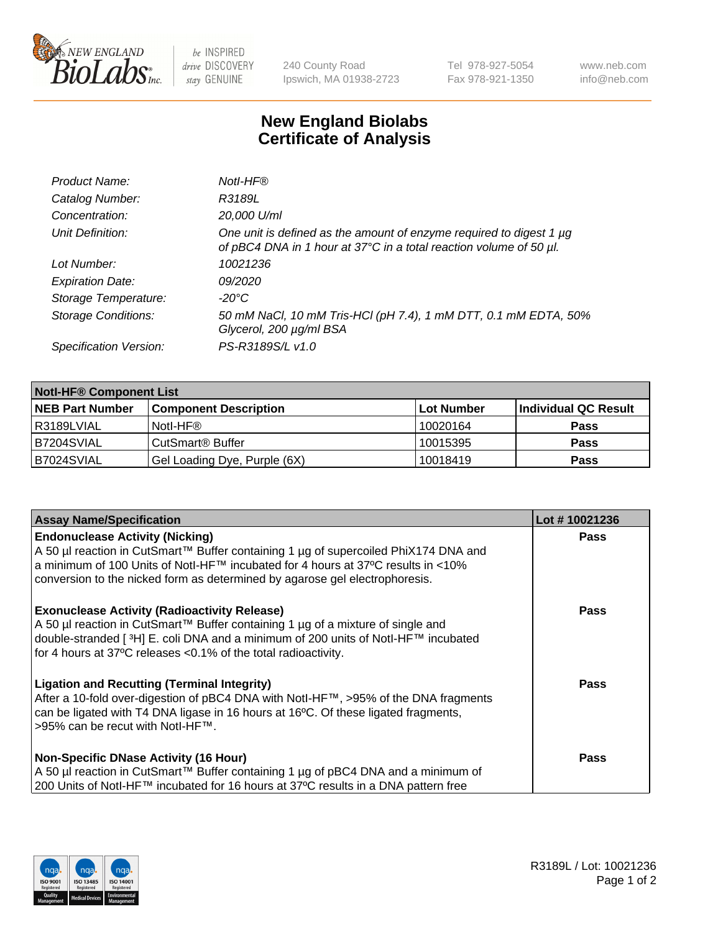

 $be$  INSPIRED drive DISCOVERY stay GENUINE

240 County Road Ipswich, MA 01938-2723 Tel 978-927-5054 Fax 978-921-1350 www.neb.com info@neb.com

## **New England Biolabs Certificate of Analysis**

| Product Name:              | Notl-HF®                                                                                                                                  |
|----------------------------|-------------------------------------------------------------------------------------------------------------------------------------------|
| Catalog Number:            | R3189L                                                                                                                                    |
| Concentration:             | 20,000 U/ml                                                                                                                               |
| Unit Definition:           | One unit is defined as the amount of enzyme required to digest 1 µg<br>of pBC4 DNA in 1 hour at 37°C in a total reaction volume of 50 µl. |
| Lot Number:                | 10021236                                                                                                                                  |
| <b>Expiration Date:</b>    | 09/2020                                                                                                                                   |
| Storage Temperature:       | $-20^{\circ}$ C                                                                                                                           |
| <b>Storage Conditions:</b> | 50 mM NaCl, 10 mM Tris-HCl (pH 7.4), 1 mM DTT, 0.1 mM EDTA, 50%<br>Glycerol, 200 µg/ml BSA                                                |
| Specification Version:     | PS-R3189S/L v1.0                                                                                                                          |

| <b>Notl-HF® Component List</b> |                              |            |                      |  |
|--------------------------------|------------------------------|------------|----------------------|--|
| <b>NEB Part Number</b>         | <b>Component Description</b> | Lot Number | Individual QC Result |  |
| R3189LVIAL                     | Notl-HF®                     | 10020164   | <b>Pass</b>          |  |
| B7204SVIAL                     | CutSmart <sup>®</sup> Buffer | 10015395   | <b>Pass</b>          |  |
| B7024SVIAL                     | Gel Loading Dye, Purple (6X) | 10018419   | <b>Pass</b>          |  |

| <b>Assay Name/Specification</b>                                                                                                                                                                                                                                                                              | Lot #10021236 |
|--------------------------------------------------------------------------------------------------------------------------------------------------------------------------------------------------------------------------------------------------------------------------------------------------------------|---------------|
| <b>Endonuclease Activity (Nicking)</b><br>A 50 µl reaction in CutSmart™ Buffer containing 1 µg of supercoiled PhiX174 DNA and                                                                                                                                                                                | <b>Pass</b>   |
| a minimum of 100 Units of Notl-HF™ incubated for 4 hours at 37°C results in <10%<br>conversion to the nicked form as determined by agarose gel electrophoresis.                                                                                                                                              |               |
| <b>Exonuclease Activity (Radioactivity Release)</b><br>  A 50 µl reaction in CutSmart™ Buffer containing 1 µg of a mixture of single and<br>double-stranded [ <sup>3</sup> H] E. coli DNA and a minimum of 200 units of Notl-HF™ incubated<br>for 4 hours at 37°C releases <0.1% of the total radioactivity. | <b>Pass</b>   |
| <b>Ligation and Recutting (Terminal Integrity)</b><br>After a 10-fold over-digestion of pBC4 DNA with Notl-HF™, >95% of the DNA fragments<br>can be ligated with T4 DNA ligase in 16 hours at 16 <sup>o</sup> C. Of these ligated fragments,<br> >95% can be recut with NotI-HF™.                            | Pass          |
| <b>Non-Specific DNase Activity (16 Hour)</b>                                                                                                                                                                                                                                                                 | <b>Pass</b>   |
| A 50 µl reaction in CutSmart™ Buffer containing 1 µg of pBC4 DNA and a minimum of<br>200 Units of Notl-HF™ incubated for 16 hours at 37°C results in a DNA pattern free                                                                                                                                      |               |